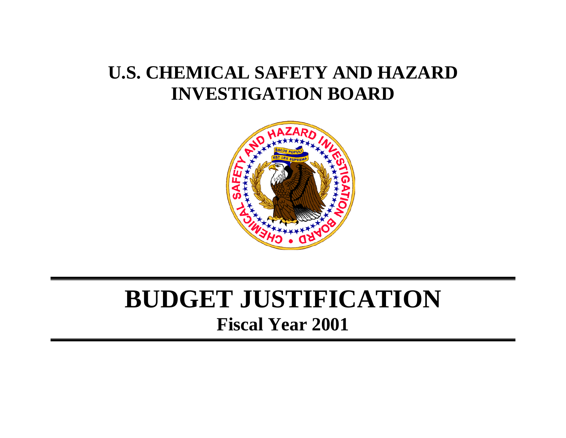# **U.S. CHEMICAL SAFETY AND HAZARD INVESTIGATION BOARD**



# **BUDGET JUSTIFICATION Fiscal Year 2001**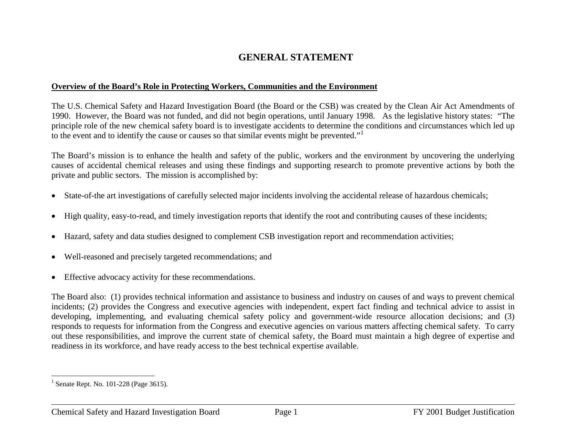# <span id="page-1-0"></span>**GENERAL STATEMENT**

#### **Overview of the Board's Role in Protecting Workers, Communities and the Environment**

The U.S. Chemical Safety and Hazard Investigation Board (the Board or the CSB) was created by the Clean Air Act Amendments of 1990. However, the Board was not funded, and did not begin operations, until January 1998. As the legislative history states: "The principle role of the new chemical safety board is to investigate accidents to determine the conditions and circumstances which led up to the event and to identify the cause or causes so that similar events might be prevented."[1](#page-1-0)

The Board's mission is to enhance the health and safety of the public, workers and the environment by uncovering the underlying causes of accidental chemical releases and using these findings and supporting research to promote preventive actions by both the private and public sectors. The mission is accomplished by:

- State-of-the art investigations of carefully selected major incidents involving the accidental release of hazardous chemicals;
- High quality, easy-to-read, and timely investigation reports that identify the root and contributing causes of these incidents;
- Hazard, safety and data studies designed to complement CSB investigation report and recommendation activities;
- Well-reasoned and precisely targeted recommendations; and
- Effective advocacy activity for these recommendations.

The Board also: (1) provides technical information and assistance to business and industry on causes of and ways to prevent chemical incidents; (2) provides the Congress and executive agencies with independent, expert fact finding and technical advice to assist in developing, implementing, and evaluating chemical safety policy and government-wide resource allocation decisions; and (3) responds to requests for information from the Congress and executive agencies on various matters affecting chemical safety. To carry out these responsibilities, and improve the current state of chemical safety, the Board must maintain a high degree of expertise and readiness in its workforce, and have ready access to the best technical expertise available.

 $1$  Senate Rept. No. 101-228 (Page 3615).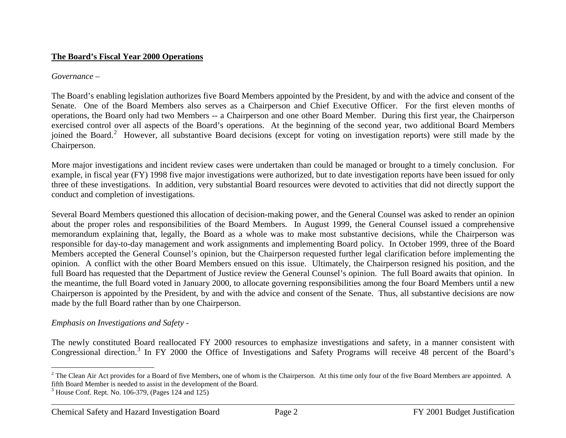#### <span id="page-2-1"></span><span id="page-2-0"></span>**The Board's Fiscal Year 2000 Operations**

#### *Governance –*

The Board's enabling legislation authorizes five Board Members appointed by the President, by and with the advice and consent of the Senate. One of the Board Members also serves as a Chairperson and Chief Executive Officer. For the first eleven months of operations, the Board only had two Members -- a Chairperson and one other Board Member. During this first year, the Chairperson exercised control over all aspects of the Board's operations. At the beginning of the second year, two additional Board Members joined the Board.<sup>[2](#page-2-0)</sup> However, all substantive Board decisions (except for voting on investigation reports) were still made by the Chairperson.

More major investigations and incident review cases were undertaken than could be managed or brought to a timely conclusion. For example, in fiscal year (FY) 1998 five major investigations were authorized, but to date investigation reports have been issued for only three of these investigations. In addition, very substantial Board resources were devoted to activities that did not directly support the conduct and completion of investigations.

Several Board Members questioned this allocation of decision-making power, and the General Counsel was asked to render an opinion about the proper roles and responsibilities of the Board Members. In August 1999, the General Counsel issued a comprehensive memorandum explaining that, legally, the Board as a whole was to make most substantive decisions, while the Chairperson was responsible for day-to-day management and work assignments and implementing Board policy. In October 1999, three of the Board Members accepted the General Counsel's opinion, but the Chairperson requested further legal clarification before implementing the opinion. A conflict with the other Board Members ensued on this issue. Ultimately, the Chairperson resigned his position, and the full Board has requested that the Department of Justice review the General Counsel's opinion. The full Board awaits that opinion. In the meantime, the full Board voted in January 2000, to allocate governing responsibilities among the four Board Members until a new Chairperson is appointed by the President, by and with the advice and consent of the Senate. Thus, all substantive decisions are now made by the full Board rather than by one Chairperson.

#### *Emphasis on Investigations and Safety -*

The newly constituted Board reallocated FY 2000 resources to emphasize investigations and safety, in a manner consistent with Congressional direction.<sup>[3](#page-2-1)</sup> In FY 2000 the Office of Investigations and Safety Programs will receive 48 percent of the Board's

 $2$  The Clean Air Act provides for a Board of five Members, one of whom is the Chairperson. At this time only four of the five Board Members are appointed. A fifth Board Member is needed to assist in the development of the Board.

 $3$  House Conf. Rept. No. 106-379, (Pages 124 and 125)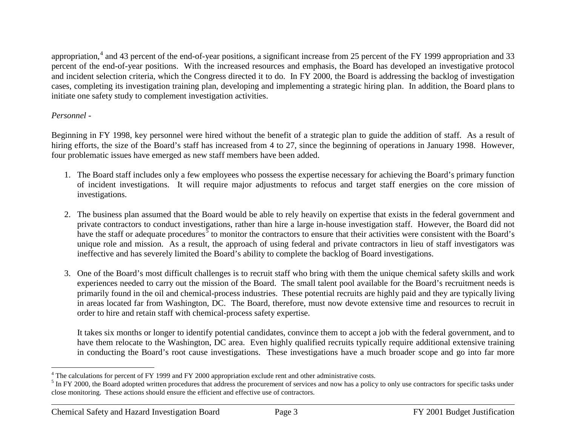<span id="page-3-1"></span><span id="page-3-0"></span>appropriation,<sup>[4](#page-3-0)</sup> and 43 percent of the end-of-year positions, a significant increase from 25 percent of the FY 1999 appropriation and 33 percent of the end-of-year positions. With the increased resources and emphasis, the Board has developed an investigative protocol and incident selection criteria, which the Congress directed it to do. In FY 2000, the Board is addressing the backlog of investigation cases, completing its investigation training plan, developing and implementing a strategic hiring plan. In addition, the Board plans to initiate one safety study to complement investigation activities.

#### *Personnel -*

Beginning in FY 1998, key personnel were hired without the benefit of a strategic plan to guide the addition of staff. As a result of hiring efforts, the size of the Board's staff has increased from 4 to 27, since the beginning of operations in January 1998. However, four problematic issues have emerged as new staff members have been added.

- 1. The Board staff includes only a few employees who possess the expertise necessary for achieving the Board's primary function of incident investigations. It will require major adjustments to refocus and target staff energies on the core mission of investigations.
- 2. The business plan assumed that the Board would be able to rely heavily on expertise that exists in the federal government and private contractors to conduct investigations, rather than hire a large in-house investigation staff. However, the Board did not have the staff or adequate procedures<sup>[5](#page-3-1)</sup> to monitor the contractors to ensure that their activities were consistent with the Board's unique role and mission. As a result, the approach of using federal and private contractors in lieu of staff investigators was ineffective and has severely limited the Board's ability to complete the backlog of Board investigations.
- 3. One of the Board's most difficult challenges is to recruit staff who bring with them the unique chemical safety skills and work experiences needed to carry out the mission of the Board. The small talent pool available for the Board's recruitment needs is primarily found in the oil and chemical-process industries. These potential recruits are highly paid and they are typically living in areas located far from Washington, DC. The Board, therefore, must now devote extensive time and resources to recruit in order to hire and retain staff with chemical-process safety expertise.

It takes six months or longer to identify potential candidates, convince them to accept a job with the federal government, and to have them relocate to the Washington, DC area. Even highly qualified recruits typically require additional extensive training in conducting the Board's root cause investigations. These investigations have a much broader scope and go into far more

 $4$  The calculations for percent of FY 1999 and FY 2000 appropriation exclude rent and other administrative costs.

<sup>&</sup>lt;sup>5</sup> In FY 2000, the Board adopted written procedures that address the procurement of services and now has a policy to only use contractors for specific tasks under close monitoring. These actions should ensure the efficient and effective use of contractors.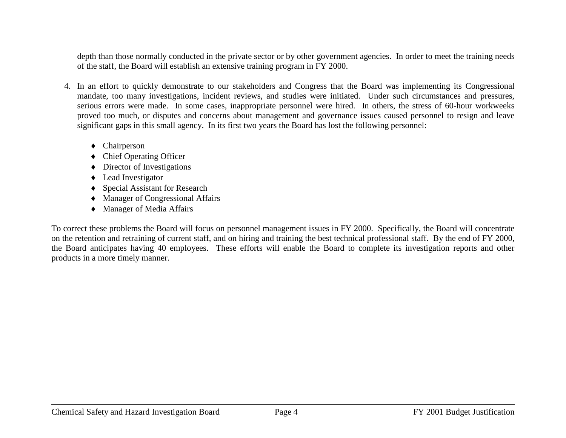depth than those normally conducted in the private sector or by other government agencies. In order to meet the training needs of the staff, the Board will establish an extensive training program in FY 2000.

- 4. In an effort to quickly demonstrate to our stakeholders and Congress that the Board was implementing its Congressional mandate, too many investigations, incident reviews, and studies were initiated. Under such circumstances and pressures, serious errors were made. In some cases, inappropriate personnel were hired. In others, the stress of 60-hour workweeks proved too much, or disputes and concerns about management and governance issues caused personnel to resign and leave significant gaps in this small agency. In its first two years the Board has lost the following personnel:
	- ♦ Chairperson
	- ♦ Chief Operating Officer
	- ♦ Director of Investigations
	- ♦ Lead Investigator
	- ♦ Special Assistant for Research
	- ♦ Manager of Congressional Affairs
	- ♦ Manager of Media Affairs

To correct these problems the Board will focus on personnel management issues in FY 2000. Specifically, the Board will concentrate on the retention and retraining of current staff, and on hiring and training the best technical professional staff. By the end of FY 2000, the Board anticipates having 40 employees. These efforts will enable the Board to complete its investigation reports and other products in a more timely manner.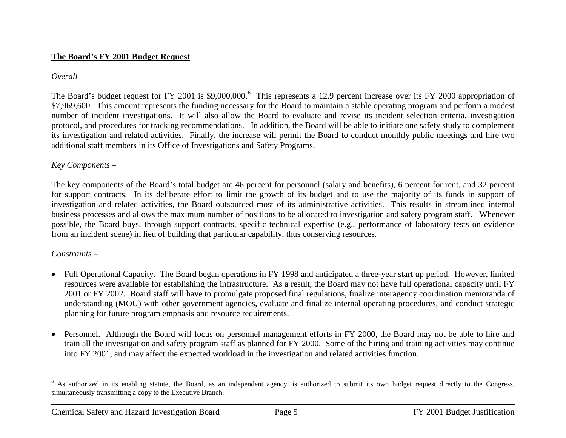#### <span id="page-5-0"></span>**The Board's FY 2001 Budget Request**

#### *Overall –*

The Board's budget request for FY 2001 is \$9,000,000.<sup>[6](#page-5-0)</sup> This represents a 12.9 percent increase over its FY 2000 appropriation of \$7,969,600. This amount represents the funding necessary for the Board to maintain a stable operating program and perform a modest number of incident investigations. It will also allow the Board to evaluate and revise its incident selection criteria, investigation protocol, and procedures for tracking recommendations. In addition, the Board will be able to initiate one safety study to complement its investigation and related activities. Finally, the increase will permit the Board to conduct monthly public meetings and hire two additional staff members in its Office of Investigations and Safety Programs.

#### *Key Components –*

The key components of the Board's total budget are 46 percent for personnel (salary and benefits), 6 percent for rent, and 32 percent for support contracts. In its deliberate effort to limit the growth of its budget and to use the majority of its funds in support of investigation and related activities, the Board outsourced most of its administrative activities. This results in streamlined internal business processes and allows the maximum number of positions to be allocated to investigation and safety program staff. Whenever possible, the Board buys, through support contracts, specific technical expertise (e.g., performance of laboratory tests on evidence from an incident scene) in lieu of building that particular capability, thus conserving resources.

### *Constraints –*

- Full Operational Capacity. The Board began operations in FY 1998 and anticipated a three-year start up period. However, limited resources were available for establishing the infrastructure. As a result, the Board may not have full operational capacity until FY 2001 or FY 2002. Board staff will have to promulgate proposed final regulations, finalize interagency coordination memoranda of understanding (MOU) with other government agencies, evaluate and finalize internal operating procedures, and conduct strategic planning for future program emphasis and resource requirements.
- Personnel. Although the Board will focus on personnel management efforts in FY 2000, the Board may not be able to hire and train all the investigation and safety program staff as planned for FY 2000. Some of the hiring and training activities may continue into FY 2001, and may affect the expected workload in the investigation and related activities function.

<sup>&</sup>lt;sup>6</sup> As authorized in its enabling statute, the Board, as an independent agency, is authorized to submit its own budget request directly to the Congress, simultaneously transmitting a copy to the Executive Branch.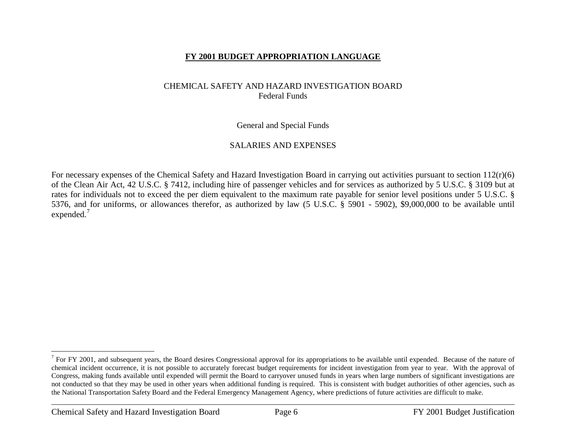#### <span id="page-6-0"></span>**FY 2001 BUDGET APPROPRIATION LANGUAGE**

#### CHEMICAL SAFETY AND HAZARD INVESTIGATION BOARD Federal Funds

General and Special Funds

#### SALARIES AND EXPENSES

For necessary expenses of the Chemical Safety and Hazard Investigation Board in carrying out activities pursuant to section  $112(r)(6)$ of the Clean Air Act, 42 U.S.C. § 7412, including hire of passenger vehicles and for services as authorized by 5 U.S.C. § 3109 but at rates for individuals not to exceed the per diem equivalent to the maximum rate payable for senior level positions under 5 U.S.C. § 5376, and for uniforms, or allowances therefor, as authorized by law (5 U.S.C. § 5901 - 5902), \$9,000,000 to be available until expended.<sup>[7](#page-6-0)</sup>

 $7$  For FY 2001, and subsequent years, the Board desires Congressional approval for its appropriations to be available until expended. Because of the nature of chemical incident occurrence, it is not possible to accurately forecast budget requirements for incident investigation from year to year. With the approval of Congress, making funds available until expended will permit the Board to carryover unused funds in years when large numbers of significant investigations are not conducted so that they may be used in other years when additional funding is required. This is consistent with budget authorities of other agencies, such as the National Transportation Safety Board and the Federal Emergency Management Agency, where predictions of future activities are difficult to make.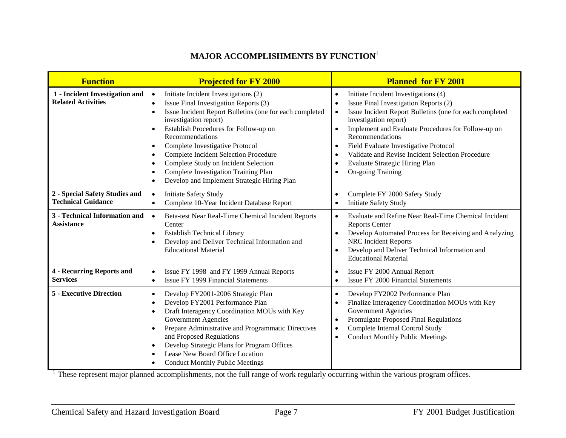## **MAJOR ACCOMPLISHMENTS BY FUNCTION**<sup>1</sup>

| <b>Function</b>                                             | <b>Projected for FY 2000</b>                                                                                                                                                                                                                                                                                                                                                                                                                                                                                                                                         | <b>Planned for FY 2001</b>                                                                                                                                                                                                                                                                                                                                                                                                                                                                             |
|-------------------------------------------------------------|----------------------------------------------------------------------------------------------------------------------------------------------------------------------------------------------------------------------------------------------------------------------------------------------------------------------------------------------------------------------------------------------------------------------------------------------------------------------------------------------------------------------------------------------------------------------|--------------------------------------------------------------------------------------------------------------------------------------------------------------------------------------------------------------------------------------------------------------------------------------------------------------------------------------------------------------------------------------------------------------------------------------------------------------------------------------------------------|
| 1 - Incident Investigation and<br><b>Related Activities</b> | Initiate Incident Investigations (2)<br>$\bullet$<br>Issue Final Investigation Reports (3)<br>$\bullet$<br>Issue Incident Report Bulletins (one for each completed<br>$\bullet$<br>investigation report)<br>Establish Procedures for Follow-up on<br>$\bullet$<br>Recommendations<br>Complete Investigative Protocol<br>$\bullet$<br><b>Complete Incident Selection Procedure</b><br>$\bullet$<br>Complete Study on Incident Selection<br>$\bullet$<br>Complete Investigation Training Plan<br>$\bullet$<br>Develop and Implement Strategic Hiring Plan<br>$\bullet$ | Initiate Incident Investigations (4)<br>$\bullet$<br>Issue Final Investigation Reports (2)<br>$\bullet$<br>Issue Incident Report Bulletins (one for each completed<br>$\bullet$<br>investigation report)<br>Implement and Evaluate Procedures for Follow-up on<br>$\bullet$<br>Recommendations<br>Field Evaluate Investigative Protocol<br>$\bullet$<br>Validate and Revise Incident Selection Procedure<br>$\bullet$<br>Evaluate Strategic Hiring Plan<br>$\bullet$<br>On-going Training<br>$\bullet$ |
| 2 - Special Safety Studies and<br><b>Technical Guidance</b> | <b>Initiate Safety Study</b><br>$\bullet$<br>Complete 10-Year Incident Database Report<br>$\bullet$                                                                                                                                                                                                                                                                                                                                                                                                                                                                  | Complete FY 2000 Safety Study<br>$\bullet$<br><b>Initiate Safety Study</b><br>$\bullet$                                                                                                                                                                                                                                                                                                                                                                                                                |
| 3 - Technical Information and<br><b>Assistance</b>          | Beta-test Near Real-Time Chemical Incident Reports<br>$\bullet$<br>Center<br><b>Establish Technical Library</b><br>$\bullet$<br>Develop and Deliver Technical Information and<br>$\bullet$<br><b>Educational Material</b>                                                                                                                                                                                                                                                                                                                                            | Evaluate and Refine Near Real-Time Chemical Incident<br>$\bullet$<br><b>Reports Center</b><br>Develop Automated Process for Receiving and Analyzing<br>$\bullet$<br><b>NRC</b> Incident Reports<br>Develop and Deliver Technical Information and<br>$\bullet$<br><b>Educational Material</b>                                                                                                                                                                                                           |
| <b>4 - Recurring Reports and</b><br><b>Services</b>         | Issue FY 1998 and FY 1999 Annual Reports<br>$\bullet$<br><b>Issue FY 1999 Financial Statements</b><br>$\bullet$                                                                                                                                                                                                                                                                                                                                                                                                                                                      | Issue FY 2000 Annual Report<br>$\bullet$<br><b>Issue FY 2000 Financial Statements</b><br>$\bullet$                                                                                                                                                                                                                                                                                                                                                                                                     |
| <b>5 - Executive Direction</b>                              | Develop FY2001-2006 Strategic Plan<br>$\bullet$<br>Develop FY2001 Performance Plan<br>$\bullet$<br>Draft Interagency Coordination MOUs with Key<br>$\bullet$<br><b>Government Agencies</b><br>Prepare Administrative and Programmatic Directives<br>$\bullet$<br>and Proposed Regulations<br>Develop Strategic Plans for Program Offices<br>$\bullet$<br>Lease New Board Office Location<br>$\bullet$<br><b>Conduct Monthly Public Meetings</b>                                                                                                                      | Develop FY2002 Performance Plan<br>$\bullet$<br>Finalize Interagency Coordination MOUs with Key<br>$\bullet$<br><b>Government Agencies</b><br>Promulgate Proposed Final Regulations<br>$\bullet$<br>Complete Internal Control Study<br>$\bullet$<br><b>Conduct Monthly Public Meetings</b><br>$\bullet$                                                                                                                                                                                                |

<sup>1</sup> These represent major planned accomplishments, not the full range of work regularly occurring within the various program offices.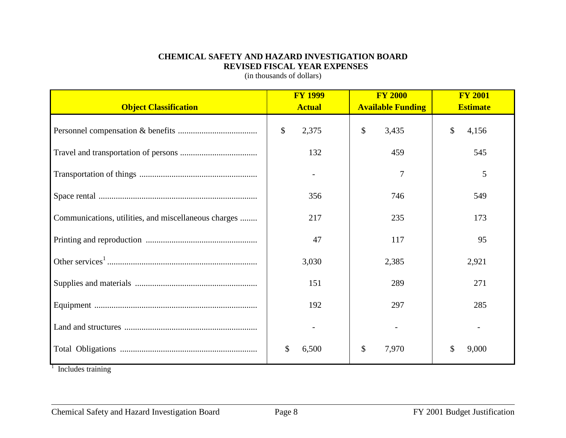#### **CHEMICAL SAFETY AND HAZARD INVESTIGATION BOARD REVISED FISCAL YEAR EXPENSES**

(in thousands of dollars)

| <b>Object Classification</b>                         | <b>FY 1999</b><br><b>Actual</b> | <b>FY 2000</b><br><b>Available Funding</b> | <b>FY 2001</b><br><b>Estimate</b>  |
|------------------------------------------------------|---------------------------------|--------------------------------------------|------------------------------------|
|                                                      | \$<br>2,375                     | $\boldsymbol{\mathsf{S}}$<br>3,435         | $\boldsymbol{\mathsf{S}}$<br>4,156 |
|                                                      | 132                             | 459                                        | 545                                |
|                                                      |                                 | 7                                          | 5                                  |
|                                                      | 356                             | 746                                        | 549                                |
| Communications, utilities, and miscellaneous charges | 217                             | 235                                        | 173                                |
|                                                      | 47                              | 117                                        | 95                                 |
|                                                      | 3,030                           | 2,385                                      | 2,921                              |
|                                                      | 151                             | 289                                        | 271                                |
|                                                      | 192                             | 297                                        | 285                                |
|                                                      |                                 |                                            |                                    |
| $\sim$ $\sim$ $\sim$<br>. .                          | \$<br>6,500                     | \$<br>7,970                                | \$<br>9,000                        |

 $<sup>1</sup>$  Includes training</sup>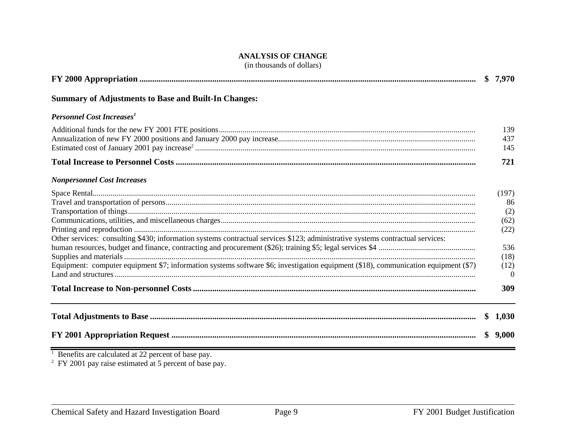#### **ANALYSIS OF CHANGE**

(in thousands of dollars)

|                                                                                                                                                                                                                                                                      | \$7,970                                                               |
|----------------------------------------------------------------------------------------------------------------------------------------------------------------------------------------------------------------------------------------------------------------------|-----------------------------------------------------------------------|
| <b>Summary of Adjustments to Base and Built-In Changes:</b>                                                                                                                                                                                                          |                                                                       |
| <b>Personnel Cost Increases</b> <sup>1</sup>                                                                                                                                                                                                                         |                                                                       |
|                                                                                                                                                                                                                                                                      | 139<br>437<br>145                                                     |
|                                                                                                                                                                                                                                                                      | 721                                                                   |
| <b>Nonpersonnel Cost Increases</b>                                                                                                                                                                                                                                   |                                                                       |
| Other services: consulting \$430; information systems contractual services \$123; administrative systems contractual services:<br>Equipment: computer equipment \$7; information systems software \$6; investigation equipment (\$18), communication equipment (\$7) | (197)<br>86<br>(2)<br>(62)<br>(22)<br>536<br>(18)<br>(12)<br>$\Omega$ |
|                                                                                                                                                                                                                                                                      | 309                                                                   |
|                                                                                                                                                                                                                                                                      | \$1,030                                                               |
|                                                                                                                                                                                                                                                                      | 9,000                                                                 |
|                                                                                                                                                                                                                                                                      |                                                                       |

 $1$  Benefits are calculated at 22 percent of base pay.

 $2$  FY 2001 pay raise estimated at 5 percent of base pay.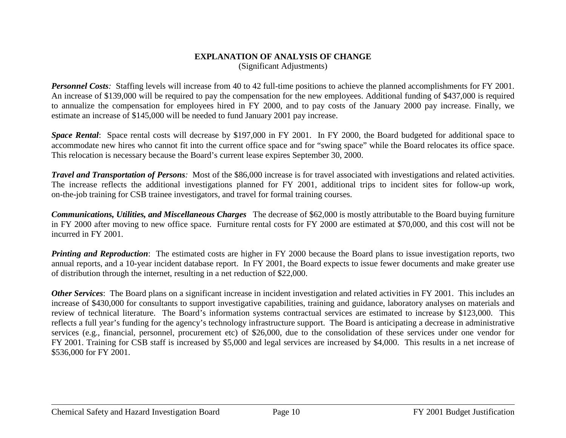#### **EXPLANATION OF ANALYSIS OF CHANGE**  (Significant Adjustments)

*Personnel Costs*: Staffing levels will increase from 40 to 42 full-time positions to achieve the planned accomplishments for FY 2001. An increase of \$139,000 will be required to pay the compensation for the new employees. Additional funding of \$437,000 is required to annualize the compensation for employees hired in FY 2000, and to pay costs of the January 2000 pay increase. Finally, we estimate an increase of \$145,000 will be needed to fund January 2001 pay increase.

*Space Rental*: Space rental costs will decrease by \$197,000 in FY 2001. In FY 2000, the Board budgeted for additional space to accommodate new hires who cannot fit into the current office space and for "swing space" while the Board relocates its office space. This relocation is necessary because the Board's current lease expires September 30, 2000.

*Travel and Transportation of Persons:* Most of the \$86,000 increase is for travel associated with investigations and related activities. The increase reflects the additional investigations planned for FY 2001, additional trips to incident sites for follow-up work, on-the-job training for CSB trainee investigators, and travel for formal training courses.

*Communications, Utilities, and Miscellaneous Charges* The decrease of \$62,000 is mostly attributable to the Board buying furniture in FY 2000 after moving to new office space. Furniture rental costs for FY 2000 are estimated at \$70,000, and this cost will not be incurred in FY 2001.

*Printing and Reproduction*: The estimated costs are higher in FY 2000 because the Board plans to issue investigation reports, two annual reports, and a 10-year incident database report. In FY 2001, the Board expects to issue fewer documents and make greater use of distribution through the internet, resulting in a net reduction of \$22,000.

*Other Services*: The Board plans on a significant increase in incident investigation and related activities in FY 2001. This includes an increase of \$430,000 for consultants to support investigative capabilities, training and guidance, laboratory analyses on materials and review of technical literature. The Board's information systems contractual services are estimated to increase by \$123,000. This reflects a full year's funding for the agency's technology infrastructure support. The Board is anticipating a decrease in administrative services (e.g., financial, personnel, procurement etc) of \$26,000, due to the consolidation of these services under one vendor for FY 2001. Training for CSB staff is increased by \$5,000 and legal services are increased by \$4,000. This results in a net increase of \$536,000 for FY 2001.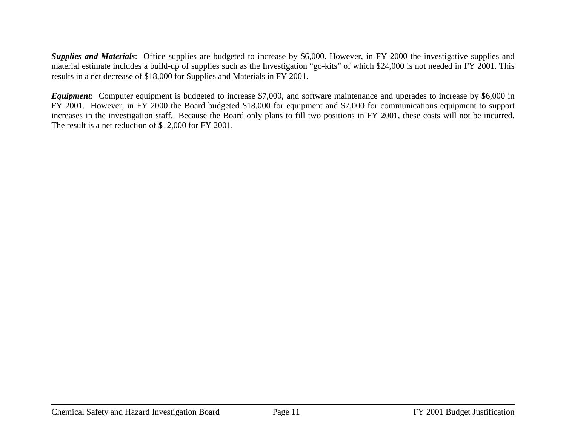*Supplies and Materials*: Office supplies are budgeted to increase by \$6,000. However, in FY 2000 the investigative supplies and material estimate includes a build-up of supplies such as the Investigation "go-kits" of which \$24,000 is not needed in FY 2001. This results in a net decrease of \$18,000 for Supplies and Materials in FY 2001.

*Equipment*: Computer equipment is budgeted to increase \$7,000, and software maintenance and upgrades to increase by \$6,000 in FY 2001. However, in FY 2000 the Board budgeted \$18,000 for equipment and \$7,000 for communications equipment to support increases in the investigation staff. Because the Board only plans to fill two positions in FY 2001, these costs will not be incurred. The result is a net reduction of \$12,000 for FY 2001.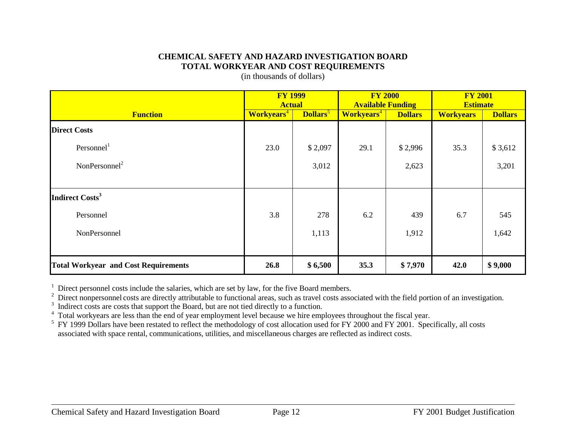#### **CHEMICAL SAFETY AND HAZARD INVESTIGATION BOARD TOTAL WORKYEAR AND COST REQUIREMENTS**

(in thousands of dollars)

|                                             | <b>FY 1999</b><br><b>Actual</b> |                             | <b>FY 2000</b><br><b>Available Funding</b> |                | <b>FY 2001</b><br><b>Estimate</b> |                |
|---------------------------------------------|---------------------------------|-----------------------------|--------------------------------------------|----------------|-----------------------------------|----------------|
| <b>Function</b>                             | <b>Workyears</b> <sup>4</sup>   | <b>Dollars</b> <sup>5</sup> | <b>Workyears</b> <sup>4</sup>              | <b>Dollars</b> | <b>Workyears</b>                  | <b>Dollars</b> |
| <b>Direct Costs</b>                         |                                 |                             |                                            |                |                                   |                |
| Personnel <sup>1</sup>                      | 23.0                            | \$2,097                     | 29.1                                       | \$2,996        | 35.3                              | \$3,612        |
| NonPersonnel <sup>2</sup>                   |                                 | 3,012                       |                                            | 2,623          |                                   | 3,201          |
|                                             |                                 |                             |                                            |                |                                   |                |
| Indirect Costs <sup>3</sup>                 |                                 |                             |                                            |                |                                   |                |
| Personnel                                   | 3.8                             | 278                         | 6.2                                        | 439            | 6.7                               | 545            |
| NonPersonnel                                |                                 | 1,113                       |                                            | 1,912          |                                   | 1,642          |
|                                             |                                 |                             |                                            |                |                                   |                |
| <b>Total Workyear and Cost Requirements</b> | 26.8                            | \$6,500                     | 35.3                                       | \$7,970        | 42.0                              | \$9,000        |

<sup>1</sup> Direct personnel costs include the salaries, which are set by law, for the five Board members.

<sup>2</sup> Direct nonpersonnel costs are directly attributable to functional areas, such as travel costs associated with the field portion of an investigation.

<sup>3</sup> Indirect costs are costs that support the Board, but are not tied directly to a function.

<sup>4</sup> Total workyears are less than the end of year employment level because we hire employees throughout the fiscal year.

 $5$  FY 1999 Dollars have been restated to reflect the methodology of cost allocation used for FY 2000 and FY 2001. Specifically, all costs associated with space rental, communications, utilities, and miscellaneous charges are reflected as indirect costs.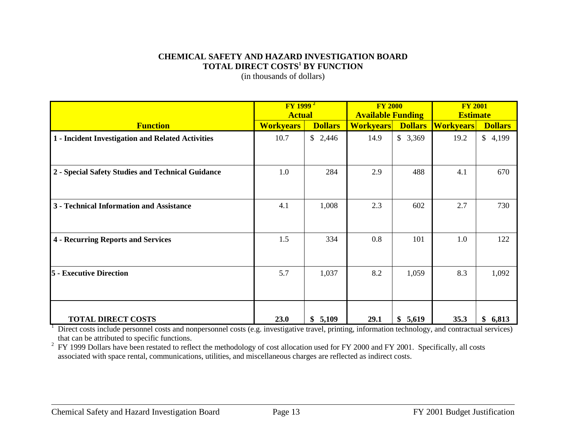#### **CHEMICAL SAFETY AND HAZARD INVESTIGATION BOARD TOTAL DIRECT COSTS1 BY FUNCTION**

(in thousands of dollars)

|                                                   | $\overline{FY}$ 1999 $\overline{P}$ |                | <b>FY 2000</b>           |                | <b>FY 2001</b>   |                |  |
|---------------------------------------------------|-------------------------------------|----------------|--------------------------|----------------|------------------|----------------|--|
|                                                   | <b>Actual</b>                       |                | <b>Available Funding</b> |                | <b>Estimate</b>  |                |  |
| <b>Function</b>                                   | <b>Workyears</b>                    | <b>Dollars</b> | <b>Workyears</b>         | <b>Dollars</b> | <b>Workyears</b> | <b>Dollars</b> |  |
| 1 - Incident Investigation and Related Activities | 10.7                                | \$2,446        | 14.9                     | \$3,369        | 19.2             | \$4,199        |  |
|                                                   |                                     |                |                          |                |                  |                |  |
| 2 - Special Safety Studies and Technical Guidance | 1.0                                 | 284            | 2.9                      | 488            | 4.1              | 670            |  |
| 3 - Technical Information and Assistance          | 4.1                                 | 1,008          | 2.3                      | 602            | 2.7              | 730            |  |
| 4 - Recurring Reports and Services                | 1.5                                 | 334            | 0.8                      | 101            | 1.0              | 122            |  |
| <b>5</b> - Executive Direction                    | 5.7                                 | 1,037          | 8.2                      | 1,059          | 8.3              | 1,092          |  |
| <b>TOTAL DIRECT COSTS</b>                         | 23.0                                | \$5,109        | 29.1                     | \$5,619        | 35.3             | \$6,813        |  |

 $1$  Direct costs include personnel costs and nonpersonnel costs (e.g. investigative travel, printing, information technology, and contractual services) that can be attributed to specific functions.

<sup>2</sup> FY 1999 Dollars have been restated to reflect the methodology of cost allocation used for FY 2000 and FY 2001. Specifically, all costs associated with space rental, communications, utilities, and miscellaneous charges are reflected as indirect costs.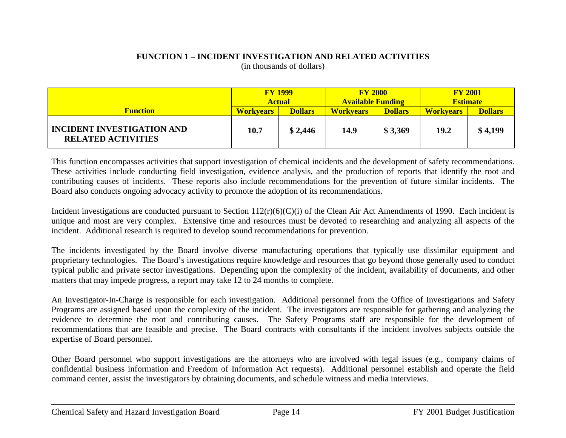#### **FUNCTION 1 – INCIDENT INVESTIGATION AND RELATED ACTIVITIES** (in thousands of dollars)

|                                                                | <b>FY 1999</b><br><b>Actual</b> |                | <b>FY 2000</b><br><b>Available Funding</b> |                | <b>FY 2001</b><br><b>Estimate</b> |                |
|----------------------------------------------------------------|---------------------------------|----------------|--------------------------------------------|----------------|-----------------------------------|----------------|
| <b>Function</b>                                                | <b>Workvears</b>                | <b>Dollars</b> | <b>Workvears</b>                           | <b>Dollars</b> | <b>Workvears</b>                  | <b>Dollars</b> |
| <b>INCIDENT INVESTIGATION AND</b><br><b>RELATED ACTIVITIES</b> | 10.7                            | \$2,446        | 14.9                                       | \$3,369        | 19.2                              | \$4,199        |

This function encompasses activities that support investigation of chemical incidents and the development of safety recommendations. These activities include conducting field investigation, evidence analysis, and the production of reports that identify the root and contributing causes of incidents. These reports also include recommendations for the prevention of future similar incidents. The Board also conducts ongoing advocacy activity to promote the adoption of its recommendations.

Incident investigations are conducted pursuant to Section 112(r)(6)(C)(i) of the Clean Air Act Amendments of 1990. Each incident is unique and most are very complex. Extensive time and resources must be devoted to researching and analyzing all aspects of the incident. Additional research is required to develop sound recommendations for prevention.

The incidents investigated by the Board involve diverse manufacturing operations that typically use dissimilar equipment and proprietary technologies. The Board's investigations require knowledge and resources that go beyond those generally used to conduct typical public and private sector investigations. Depending upon the complexity of the incident, availability of documents, and other matters that may impede progress, a report may take 12 to 24 months to complete.

An Investigator-In-Charge is responsible for each investigation. Additional personnel from the Office of Investigations and Safety Programs are assigned based upon the complexity of the incident. The investigators are responsible for gathering and analyzing the evidence to determine the root and contributing causes. The Safety Programs staff are responsible for the development of recommendations that are feasible and precise. The Board contracts with consultants if the incident involves subjects outside the expertise of Board personnel.

Other Board personnel who support investigations are the attorneys who are involved with legal issues (e.g., company claims of confidential business information and Freedom of Information Act requests). Additional personnel establish and operate the field command center, assist the investigators by obtaining documents, and schedule witness and media interviews.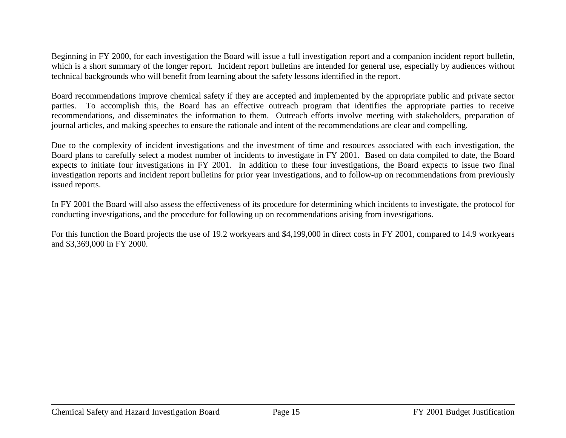Beginning in FY 2000, for each investigation the Board will issue a full investigation report and a companion incident report bulletin, which is a short summary of the longer report. Incident report bulletins are intended for general use, especially by audiences without technical backgrounds who will benefit from learning about the safety lessons identified in the report.

Board recommendations improve chemical safety if they are accepted and implemented by the appropriate public and private sector parties. To accomplish this, the Board has an effective outreach program that identifies the appropriate parties to receive recommendations, and disseminates the information to them. Outreach efforts involve meeting with stakeholders, preparation of journal articles, and making speeches to ensure the rationale and intent of the recommendations are clear and compelling.

Due to the complexity of incident investigations and the investment of time and resources associated with each investigation, the Board plans to carefully select a modest number of incidents to investigate in FY 2001. Based on data compiled to date, the Board expects to initiate four investigations in FY 2001. In addition to these four investigations, the Board expects to issue two final investigation reports and incident report bulletins for prior year investigations, and to follow-up on recommendations from previously issued reports.

In FY 2001 the Board will also assess the effectiveness of its procedure for determining which incidents to investigate, the protocol for conducting investigations, and the procedure for following up on recommendations arising from investigations.

For this function the Board projects the use of 19.2 workyears and \$4,199,000 in direct costs in FY 2001, compared to 14.9 workyears and \$3,369,000 in FY 2000.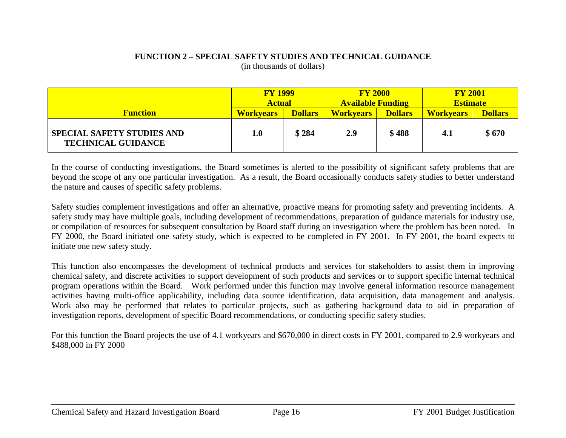#### **FUNCTION 2 – SPECIAL SAFETY STUDIES AND TECHNICAL GUIDANCE** (in thousands of dollars)

|                                                                | <b>FY 1999</b><br><b>Actual</b> |                | <b>FY 2000</b><br><b>Available Funding</b> |                | <b>FY 2001</b><br><b>Estimate</b> |                |
|----------------------------------------------------------------|---------------------------------|----------------|--------------------------------------------|----------------|-----------------------------------|----------------|
| <b>Function</b>                                                | <b>Workvears</b>                | <b>Dollars</b> | <b>Workvears</b>                           | <b>Dollars</b> | <b>Workvears</b>                  | <b>Dollars</b> |
| <b>SPECIAL SAFETY STUDIES AND</b><br><b>TECHNICAL GUIDANCE</b> | 1.0                             | \$284          | 2.9                                        | \$488          | 4.1                               | \$670          |

In the course of conducting investigations, the Board sometimes is alerted to the possibility of significant safety problems that are beyond the scope of any one particular investigation. As a result, the Board occasionally conducts safety studies to better understand the nature and causes of specific safety problems.

Safety studies complement investigations and offer an alternative, proactive means for promoting safety and preventing incidents. A safety study may have multiple goals, including development of recommendations, preparation of guidance materials for industry use, or compilation of resources for subsequent consultation by Board staff during an investigation where the problem has been noted. In FY 2000, the Board initiated one safety study, which is expected to be completed in FY 2001. In FY 2001, the board expects to initiate one new safety study.

This function also encompasses the development of technical products and services for stakeholders to assist them in improving chemical safety, and discrete activities to support development of such products and services or to support specific internal technical program operations within the Board. Work performed under this function may involve general information resource management activities having multi-office applicability, including data source identification, data acquisition, data management and analysis. Work also may be performed that relates to particular projects, such as gathering background data to aid in preparation of investigation reports, development of specific Board recommendations, or conducting specific safety studies.

For this function the Board projects the use of 4.1 workyears and \$670,000 in direct costs in FY 2001, compared to 2.9 workyears and \$488,000 in FY 2000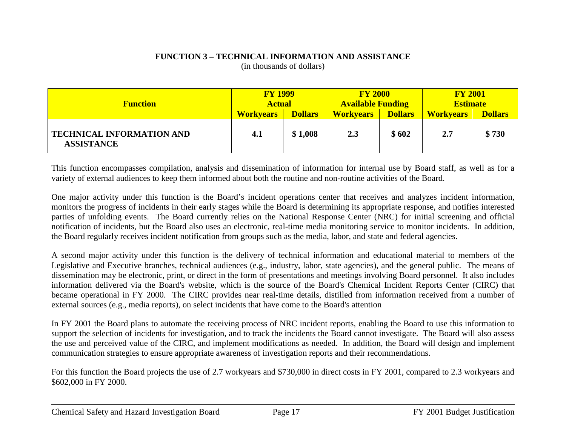#### **FUNCTION 3 – TECHNICAL INFORMATION AND ASSISTANCE** (in thousands of dollars)

| <b>Function</b>                                       | <b>FY 1999</b><br><b>Actual</b> |                | <b>FY 2000</b><br><b>Available Funding</b> |                | <b>FY 2001</b><br><b>Estimate</b> |                |
|-------------------------------------------------------|---------------------------------|----------------|--------------------------------------------|----------------|-----------------------------------|----------------|
|                                                       | <b>Workvears</b>                | <b>Dollars</b> | <b>Workvears</b>                           | <b>Dollars</b> | <b>Workvears</b>                  | <b>Dollars</b> |
| <b>TECHNICAL INFORMATION AND</b><br><b>ASSISTANCE</b> | 4.1                             | \$1,008        | 2.3                                        | \$602          | 2.7                               | \$730          |

This function encompasses compilation, analysis and dissemination of information for internal use by Board staff, as well as for a variety of external audiences to keep them informed about both the routine and non-routine activities of the Board.

One major activity under this function is the Board's incident operations center that receives and analyzes incident information, monitors the progress of incidents in their early stages while the Board is determining its appropriate response, and notifies interested parties of unfolding events. The Board currently relies on the National Response Center (NRC) for initial screening and official notification of incidents, but the Board also uses an electronic, real-time media monitoring service to monitor incidents. In addition, the Board regularly receives incident notification from groups such as the media, labor, and state and federal agencies.

A second major activity under this function is the delivery of technical information and educational material to members of the Legislative and Executive branches, technical audiences (e.g., industry, labor, state agencies), and the general public. The means of dissemination may be electronic, print, or direct in the form of presentations and meetings involving Board personnel. It also includes information delivered via the Board's website, which is the source of the Board's Chemical Incident Reports Center (CIRC) that became operational in FY 2000. The CIRC provides near real-time details, distilled from information received from a number of external sources (e.g., media reports), on select incidents that have come to the Board's attention

In FY 2001 the Board plans to automate the receiving process of NRC incident reports, enabling the Board to use this information to support the selection of incidents for investigation, and to track the incidents the Board cannot investigate. The Board will also assess the use and perceived value of the CIRC, and implement modifications as needed. In addition, the Board will design and implement communication strategies to ensure appropriate awareness of investigation reports and their recommendations.

For this function the Board projects the use of 2.7 workyears and \$730,000 in direct costs in FY 2001, compared to 2.3 workyears and \$602,000 in FY 2000.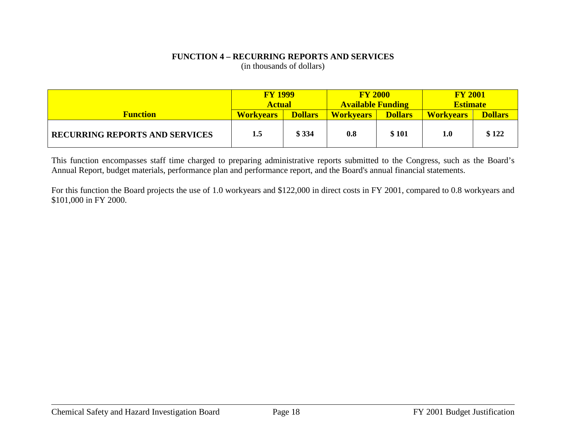#### **FUNCTION 4 – RECURRING REPORTS AND SERVICES** (in thousands of dollars)

|                                       | <b>FY 1999</b><br><b>Actual</b> |                | <b>FY 2000</b><br><b>Available Funding</b> |       | <b>FY 2001</b><br><b>Estimate</b>  |       |
|---------------------------------------|---------------------------------|----------------|--------------------------------------------|-------|------------------------------------|-------|
| <b>Function</b>                       | <b>Workvears</b>                | <b>Dollars</b> | <b>Dollars</b><br><b>Workvears</b>         |       | <b>Dollars</b><br><b>Workvears</b> |       |
| <b>RECURRING REPORTS AND SERVICES</b> | 1.5                             | \$334          | 0.8                                        | \$101 | 1.0                                | \$122 |

This function encompasses staff time charged to preparing administrative reports submitted to the Congress, such as the Board's Annual Report, budget materials, performance plan and performance report, and the Board's annual financial statements.

For this function the Board projects the use of 1.0 workyears and \$122,000 in direct costs in FY 2001, compared to 0.8 workyears and \$101,000 in FY 2000.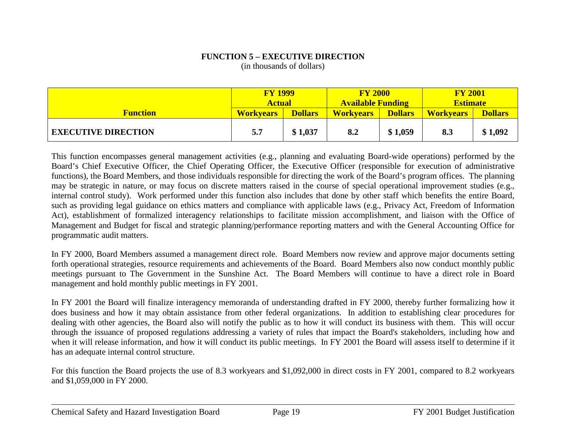#### **FUNCTION 5 – EXECUTIVE DIRECTION** (in thousands of dollars)

|                            | <b>FY 1999</b><br><b>Actual</b> |                | <b>FY 2000</b><br><b>Available Funding</b> |                | <b>FY 2001</b><br><b>Estimate</b> |                |
|----------------------------|---------------------------------|----------------|--------------------------------------------|----------------|-----------------------------------|----------------|
| <b>Function</b>            | <b>Workvears</b>                | <b>Dollars</b> | <b>Workvears</b>                           | <b>Dollars</b> | <b>Workvears</b>                  | <b>Dollars</b> |
| <b>EXECUTIVE DIRECTION</b> | 5.7                             | \$1,037        | 8.2                                        | \$1,059        | 8.3                               | \$1,092        |

This function encompasses general management activities (e.g., planning and evaluating Board-wide operations) performed by the Board's Chief Executive Officer, the Chief Operating Officer, the Executive Officer (responsible for execution of administrative functions), the Board Members, and those individuals responsible for directing the work of the Board's program offices. The planning may be strategic in nature, or may focus on discrete matters raised in the course of special operational improvement studies (e.g., internal control study). Work performed under this function also includes that done by other staff which benefits the entire Board, such as providing legal guidance on ethics matters and compliance with applicable laws (e.g., Privacy Act, Freedom of Information Act), establishment of formalized interagency relationships to facilitate mission accomplishment, and liaison with the Office of Management and Budget for fiscal and strategic planning/performance reporting matters and with the General Accounting Office for programmatic audit matters.

In FY 2000, Board Members assumed a management direct role. Board Members now review and approve major documents setting forth operational strategies, resource requirements and achievements of the Board. Board Members also now conduct monthly public meetings pursuant to The Government in the Sunshine Act. The Board Members will continue to have a direct role in Board management and hold monthly public meetings in FY 2001.

In FY 2001 the Board will finalize interagency memoranda of understanding drafted in FY 2000, thereby further formalizing how it does business and how it may obtain assistance from other federal organizations. In addition to establishing clear procedures for dealing with other agencies, the Board also will notify the public as to how it will conduct its business with them. This will occur through the issuance of proposed regulations addressing a variety of rules that impact the Board's stakeholders, including how and when it will release information, and how it will conduct its public meetings. In FY 2001 the Board will assess itself to determine if it has an adequate internal control structure.

For this function the Board projects the use of 8.3 workyears and \$1,092,000 in direct costs in FY 2001, compared to 8.2 workyears and \$1,059,000 in FY 2000.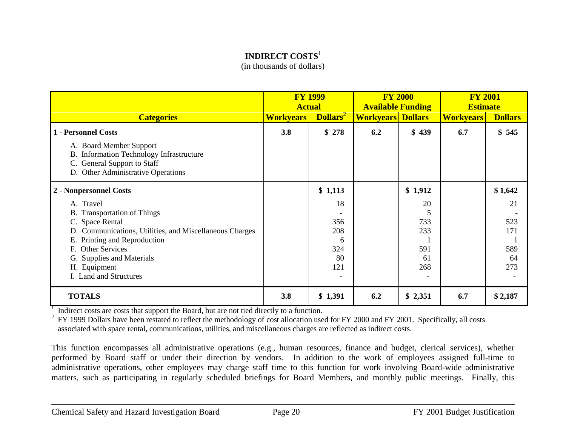#### **INDIRECT COSTS**<sup>1</sup>

(in thousands of dollars)

|                                                                                                                                                              | <b>FY 1999</b><br><b>Actual</b> |                | <b>FY 2000</b><br><b>Available Funding</b> |         | <b>FY 2001</b><br><b>Estimate</b> |                |
|--------------------------------------------------------------------------------------------------------------------------------------------------------------|---------------------------------|----------------|--------------------------------------------|---------|-----------------------------------|----------------|
| <b>Categories</b>                                                                                                                                            | <b>Workyears</b>                | <b>Dollars</b> | <b>Workyears Dollars</b>                   |         | <b>Workyears</b>                  | <b>Dollars</b> |
| 1 - Personnel Costs                                                                                                                                          | 3.8                             | \$278          | 6.2                                        | \$439   | 6.7                               | \$545          |
| A. Board Member Support<br><b>Information Technology Infrastructure</b><br>Β.<br><b>General Support to Staff</b><br>C.<br>D. Other Administrative Operations |                                 |                |                                            |         |                                   |                |
| 2 - Nonpersonnel Costs                                                                                                                                       |                                 | \$1,113        |                                            | \$1,912 |                                   | \$1,642        |
| A. Travel                                                                                                                                                    |                                 | 18             |                                            | 20      |                                   | 21             |
| <b>B.</b> Transportation of Things                                                                                                                           |                                 |                |                                            |         |                                   |                |
| C. Space Rental                                                                                                                                              |                                 | 356            |                                            | 733     |                                   | 523            |
| D. Communications, Utilities, and Miscellaneous Charges                                                                                                      |                                 | 208            |                                            | 233     |                                   | 171            |
| E. Printing and Reproduction                                                                                                                                 |                                 | 6              |                                            |         |                                   |                |
| F. Other Services                                                                                                                                            |                                 | 324            |                                            | 591     |                                   | 589            |
| <b>Supplies and Materials</b><br>G.                                                                                                                          |                                 | 80             |                                            | 61      |                                   | 64             |
| H. Equipment                                                                                                                                                 |                                 | 121            |                                            | 268     |                                   | 273            |
| I. Land and Structures                                                                                                                                       |                                 |                |                                            |         |                                   |                |
| <b>TOTALS</b>                                                                                                                                                | 3.8                             | \$1,391        | 6.2                                        | \$2,351 | 6.7                               | \$2,187        |

<sup>1</sup> Indirect costs are costs that support the Board, but are not tied directly to a function.

<sup>2</sup> FY 1999 Dollars have been restated to reflect the methodology of cost allocation used for FY 2000 and FY 2001. Specifically, all costs associated with space rental, communications, utilities, and miscellaneous charges are reflected as indirect costs.

This function encompasses all administrative operations (e.g., human resources, finance and budget, clerical services), whether performed by Board staff or under their direction by vendors. In addition to the work of employees assigned full-time to administrative operations, other employees may charge staff time to this function for work involving Board-wide administrative matters, such as participating in regularly scheduled briefings for Board Members, and monthly public meetings. Finally, this